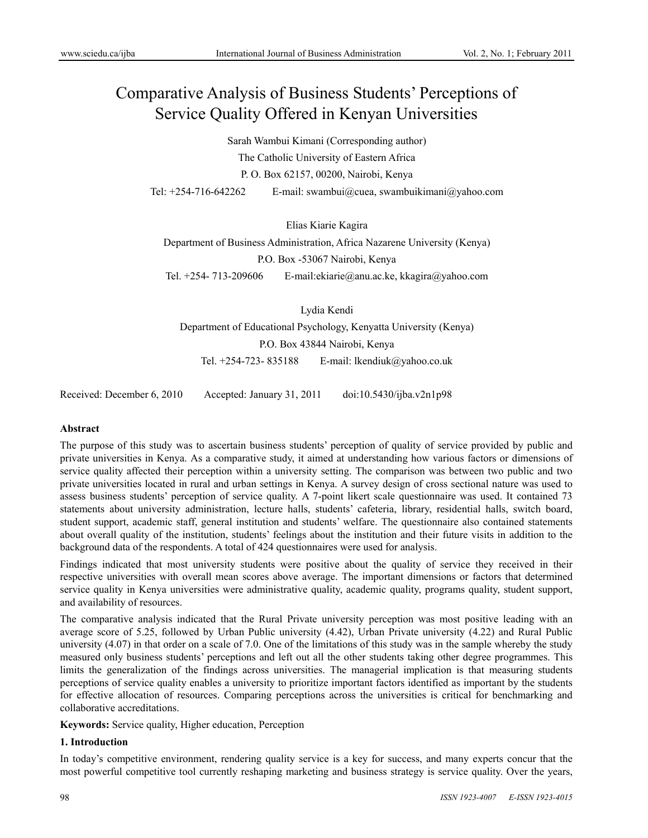# Comparative Analysis of Business Students' Perceptions of Service Quality Offered in Kenyan Universities

Sarah Wambui Kimani (Corresponding author)

The Catholic University of Eastern Africa

P. O. Box 62157, 00200, Nairobi, Kenya

Tel: +254-716-642262 E-mail: swambui@cuea, swambuikimani@yahoo.com

Elias Kiarie Kagira

Department of Business Administration, Africa Nazarene University (Kenya)

P.O. Box -53067 Nairobi, Kenya

Tel. +254- 713-209606 E-mail:ekiarie@anu.ac.ke, kkagira@yahoo.com

Lydia Kendi Department of Educational Psychology, Kenyatta University (Kenya) P.O. Box 43844 Nairobi, Kenya Tel. +254-723- 835188 E-mail: lkendiuk@yahoo.co.uk

Received: December 6, 2010 Accepted: January 31, 2011 doi:10.5430/ijba.v2n1p98

#### **Abstract**

The purpose of this study was to ascertain business students' perception of quality of service provided by public and private universities in Kenya. As a comparative study, it aimed at understanding how various factors or dimensions of service quality affected their perception within a university setting. The comparison was between two public and two private universities located in rural and urban settings in Kenya. A survey design of cross sectional nature was used to assess business students' perception of service quality. A 7-point likert scale questionnaire was used. It contained 73 statements about university administration, lecture halls, students' cafeteria, library, residential halls, switch board, student support, academic staff, general institution and students' welfare. The questionnaire also contained statements about overall quality of the institution, students' feelings about the institution and their future visits in addition to the background data of the respondents. A total of 424 questionnaires were used for analysis.

Findings indicated that most university students were positive about the quality of service they received in their respective universities with overall mean scores above average. The important dimensions or factors that determined service quality in Kenya universities were administrative quality, academic quality, programs quality, student support, and availability of resources.

The comparative analysis indicated that the Rural Private university perception was most positive leading with an average score of 5.25, followed by Urban Public university (4.42), Urban Private university (4.22) and Rural Public university (4.07) in that order on a scale of 7.0. One of the limitations of this study was in the sample whereby the study measured only business students' perceptions and left out all the other students taking other degree programmes. This limits the generalization of the findings across universities. The managerial implication is that measuring students perceptions of service quality enables a university to prioritize important factors identified as important by the students for effective allocation of resources. Comparing perceptions across the universities is critical for benchmarking and collaborative accreditations.

**Keywords:** Service quality, Higher education, Perception

## **1. Introduction**

In today's competitive environment, rendering quality service is a key for success, and many experts concur that the most powerful competitive tool currently reshaping marketing and business strategy is service quality. Over the years,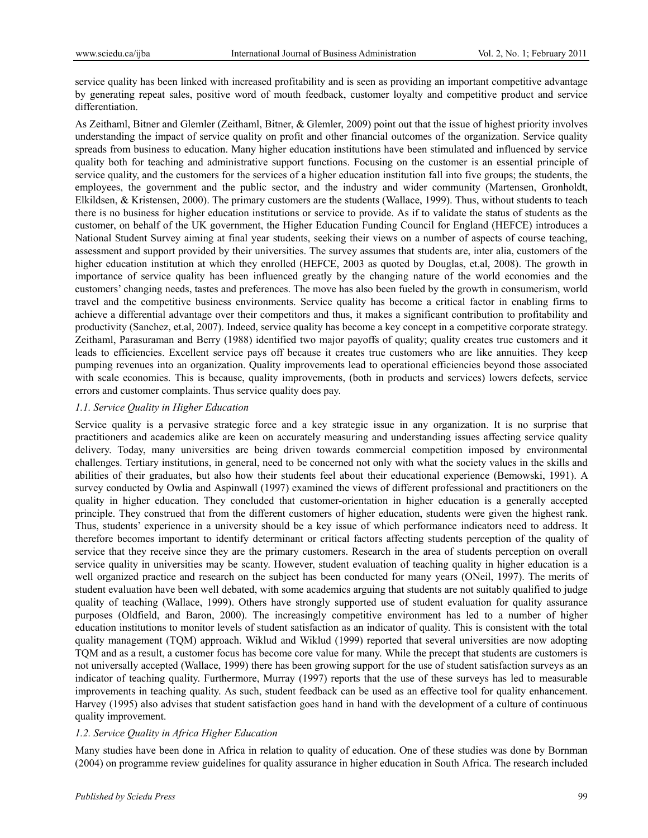service quality has been linked with increased profitability and is seen as providing an important competitive advantage by generating repeat sales, positive word of mouth feedback, customer loyalty and competitive product and service differentiation.

As Zeithaml, Bitner and Glemler (Zeithaml, Bitner, & Glemler, 2009) point out that the issue of highest priority involves understanding the impact of service quality on profit and other financial outcomes of the organization. Service quality spreads from business to education. Many higher education institutions have been stimulated and influenced by service quality both for teaching and administrative support functions. Focusing on the customer is an essential principle of service quality, and the customers for the services of a higher education institution fall into five groups; the students, the employees, the government and the public sector, and the industry and wider community (Martensen, Gronholdt, Elkildsen, & Kristensen, 2000). The primary customers are the students (Wallace, 1999). Thus, without students to teach there is no business for higher education institutions or service to provide. As if to validate the status of students as the customer, on behalf of the UK government, the Higher Education Funding Council for England (HEFCE) introduces a National Student Survey aiming at final year students, seeking their views on a number of aspects of course teaching, assessment and support provided by their universities. The survey assumes that students are, inter alia, customers of the higher education institution at which they enrolled (HEFCE, 2003 as quoted by Douglas, et.al, 2008). The growth in importance of service quality has been influenced greatly by the changing nature of the world economies and the customers' changing needs, tastes and preferences. The move has also been fueled by the growth in consumerism, world travel and the competitive business environments. Service quality has become a critical factor in enabling firms to achieve a differential advantage over their competitors and thus, it makes a significant contribution to profitability and productivity (Sanchez, et.al, 2007). Indeed, service quality has become a key concept in a competitive corporate strategy. Zeithaml, Parasuraman and Berry (1988) identified two major payoffs of quality; quality creates true customers and it leads to efficiencies. Excellent service pays off because it creates true customers who are like annuities. They keep pumping revenues into an organization. Quality improvements lead to operational efficiencies beyond those associated with scale economies. This is because, quality improvements, (both in products and services) lowers defects, service errors and customer complaints. Thus service quality does pay.

#### *1.1. Service Quality in Higher Education*

Service quality is a pervasive strategic force and a key strategic issue in any organization. It is no surprise that practitioners and academics alike are keen on accurately measuring and understanding issues affecting service quality delivery. Today, many universities are being driven towards commercial competition imposed by environmental challenges. Tertiary institutions, in general, need to be concerned not only with what the society values in the skills and abilities of their graduates, but also how their students feel about their educational experience (Bemowski, 1991). A survey conducted by Owlia and Aspinwall (1997) examined the views of different professional and practitioners on the quality in higher education. They concluded that customer-orientation in higher education is a generally accepted principle. They construed that from the different customers of higher education, students were given the highest rank. Thus, students' experience in a university should be a key issue of which performance indicators need to address. It therefore becomes important to identify determinant or critical factors affecting students perception of the quality of service that they receive since they are the primary customers. Research in the area of students perception on overall service quality in universities may be scanty. However, student evaluation of teaching quality in higher education is a well organized practice and research on the subject has been conducted for many years (ONeil, 1997). The merits of student evaluation have been well debated, with some academics arguing that students are not suitably qualified to judge quality of teaching (Wallace, 1999). Others have strongly supported use of student evaluation for quality assurance purposes (Oldfield, and Baron, 2000). The increasingly competitive environment has led to a number of higher education institutions to monitor levels of student satisfaction as an indicator of quality. This is consistent with the total quality management (TQM) approach. Wiklud and Wiklud (1999) reported that several universities are now adopting TQM and as a result, a customer focus has become core value for many. While the precept that students are customers is not universally accepted (Wallace, 1999) there has been growing support for the use of student satisfaction surveys as an indicator of teaching quality. Furthermore, Murray (1997) reports that the use of these surveys has led to measurable improvements in teaching quality. As such, student feedback can be used as an effective tool for quality enhancement. Harvey (1995) also advises that student satisfaction goes hand in hand with the development of a culture of continuous quality improvement.

#### *1.2. Service Quality in Africa Higher Education*

Many studies have been done in Africa in relation to quality of education. One of these studies was done by Bornman (2004) on programme review guidelines for quality assurance in higher education in South Africa. The research included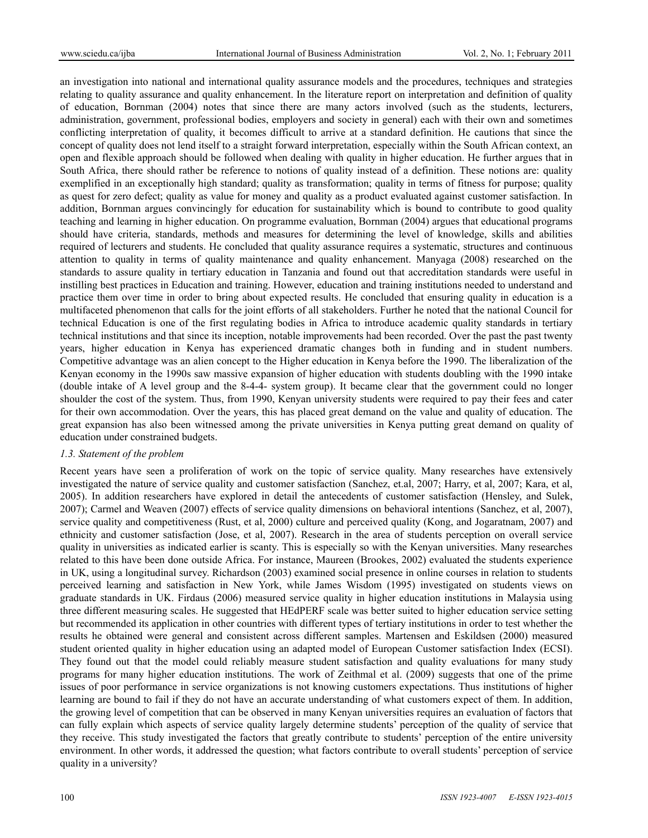an investigation into national and international quality assurance models and the procedures, techniques and strategies relating to quality assurance and quality enhancement. In the literature report on interpretation and definition of quality of education, Bornman (2004) notes that since there are many actors involved (such as the students, lecturers, administration, government, professional bodies, employers and society in general) each with their own and sometimes conflicting interpretation of quality, it becomes difficult to arrive at a standard definition. He cautions that since the concept of quality does not lend itself to a straight forward interpretation, especially within the South African context, an open and flexible approach should be followed when dealing with quality in higher education. He further argues that in South Africa, there should rather be reference to notions of quality instead of a definition. These notions are: quality exemplified in an exceptionally high standard; quality as transformation; quality in terms of fitness for purpose; quality as quest for zero defect; quality as value for money and quality as a product evaluated against customer satisfaction. In addition, Bornman argues convincingly for education for sustainability which is bound to contribute to good quality teaching and learning in higher education. On programme evaluation, Bornman (2004) argues that educational programs should have criteria, standards, methods and measures for determining the level of knowledge, skills and abilities required of lecturers and students. He concluded that quality assurance requires a systematic, structures and continuous attention to quality in terms of quality maintenance and quality enhancement. Manyaga (2008) researched on the standards to assure quality in tertiary education in Tanzania and found out that accreditation standards were useful in instilling best practices in Education and training. However, education and training institutions needed to understand and practice them over time in order to bring about expected results. He concluded that ensuring quality in education is a multifaceted phenomenon that calls for the joint efforts of all stakeholders. Further he noted that the national Council for technical Education is one of the first regulating bodies in Africa to introduce academic quality standards in tertiary technical institutions and that since its inception, notable improvements had been recorded. Over the past the past twenty years, higher education in Kenya has experienced dramatic changes both in funding and in student numbers. Competitive advantage was an alien concept to the Higher education in Kenya before the 1990. The liberalization of the Kenyan economy in the 1990s saw massive expansion of higher education with students doubling with the 1990 intake (double intake of A level group and the 8-4-4- system group). It became clear that the government could no longer shoulder the cost of the system. Thus, from 1990, Kenyan university students were required to pay their fees and cater for their own accommodation. Over the years, this has placed great demand on the value and quality of education. The great expansion has also been witnessed among the private universities in Kenya putting great demand on quality of education under constrained budgets.

#### *1.3. Statement of the problem*

Recent years have seen a proliferation of work on the topic of service quality. Many researches have extensively investigated the nature of service quality and customer satisfaction (Sanchez, et.al, 2007; Harry, et al, 2007; Kara, et al, 2005). In addition researchers have explored in detail the antecedents of customer satisfaction (Hensley, and Sulek, 2007); Carmel and Weaven (2007) effects of service quality dimensions on behavioral intentions (Sanchez, et al, 2007), service quality and competitiveness (Rust, et al, 2000) culture and perceived quality (Kong, and Jogaratnam, 2007) and ethnicity and customer satisfaction (Jose, et al, 2007). Research in the area of students perception on overall service quality in universities as indicated earlier is scanty. This is especially so with the Kenyan universities. Many researches related to this have been done outside Africa. For instance, Maureen (Brookes, 2002) evaluated the students experience in UK, using a longitudinal survey. Richardson (2003) examined social presence in online courses in relation to students perceived learning and satisfaction in New York, while James Wisdom (1995) investigated on students views on graduate standards in UK. Firdaus (2006) measured service quality in higher education institutions in Malaysia using three different measuring scales. He suggested that HEdPERF scale was better suited to higher education service setting but recommended its application in other countries with different types of tertiary institutions in order to test whether the results he obtained were general and consistent across different samples. Martensen and Eskildsen (2000) measured student oriented quality in higher education using an adapted model of European Customer satisfaction Index (ECSI). They found out that the model could reliably measure student satisfaction and quality evaluations for many study programs for many higher education institutions. The work of Zeithmal et al. (2009) suggests that one of the prime issues of poor performance in service organizations is not knowing customers expectations. Thus institutions of higher learning are bound to fail if they do not have an accurate understanding of what customers expect of them. In addition, the growing level of competition that can be observed in many Kenyan universities requires an evaluation of factors that can fully explain which aspects of service quality largely determine students' perception of the quality of service that they receive. This study investigated the factors that greatly contribute to students' perception of the entire university environment. In other words, it addressed the question; what factors contribute to overall students' perception of service quality in a university?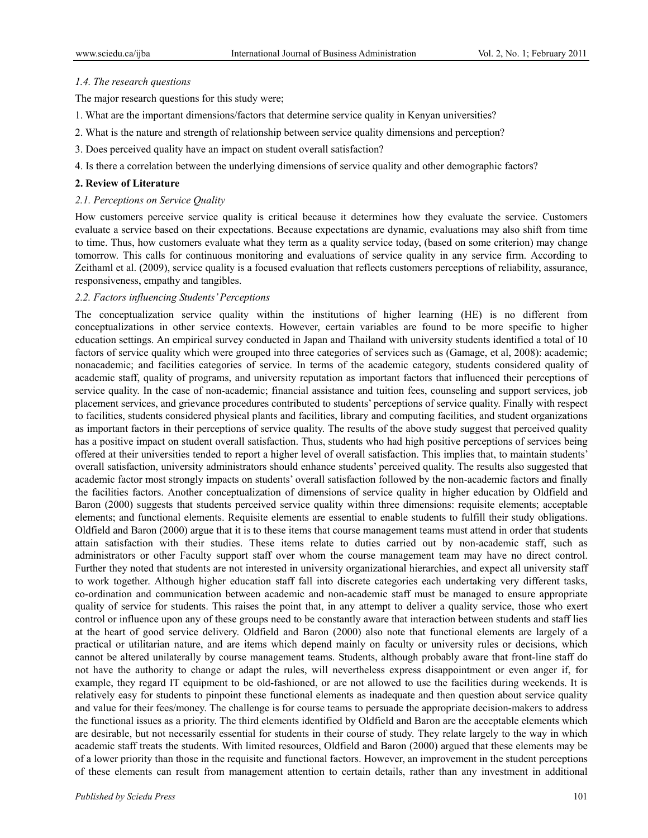#### *1.4. The research questions*

The major research questions for this study were;

- 1. What are the important dimensions/factors that determine service quality in Kenyan universities?
- 2. What is the nature and strength of relationship between service quality dimensions and perception?
- 3. Does perceived quality have an impact on student overall satisfaction?
- 4. Is there a correlation between the underlying dimensions of service quality and other demographic factors?

#### **2. Review of Literature**

#### *2.1. Perceptions on Service Quality*

How customers perceive service quality is critical because it determines how they evaluate the service. Customers evaluate a service based on their expectations. Because expectations are dynamic, evaluations may also shift from time to time. Thus, how customers evaluate what they term as a quality service today, (based on some criterion) may change tomorrow. This calls for continuous monitoring and evaluations of service quality in any service firm. According to Zeithaml et al. (2009), service quality is a focused evaluation that reflects customers perceptions of reliability, assurance, responsiveness, empathy and tangibles.

## *2.2. Factors influencing Students' Perceptions*

The conceptualization service quality within the institutions of higher learning (HE) is no different from conceptualizations in other service contexts. However, certain variables are found to be more specific to higher education settings. An empirical survey conducted in Japan and Thailand with university students identified a total of 10 factors of service quality which were grouped into three categories of services such as (Gamage, et al, 2008): academic; nonacademic; and facilities categories of service. In terms of the academic category, students considered quality of academic staff, quality of programs, and university reputation as important factors that influenced their perceptions of service quality. In the case of non-academic; financial assistance and tuition fees, counseling and support services, job placement services, and grievance procedures contributed to students' perceptions of service quality. Finally with respect to facilities, students considered physical plants and facilities, library and computing facilities, and student organizations as important factors in their perceptions of service quality. The results of the above study suggest that perceived quality has a positive impact on student overall satisfaction. Thus, students who had high positive perceptions of services being offered at their universities tended to report a higher level of overall satisfaction. This implies that, to maintain students' overall satisfaction, university administrators should enhance students' perceived quality. The results also suggested that academic factor most strongly impacts on students' overall satisfaction followed by the non-academic factors and finally the facilities factors. Another conceptualization of dimensions of service quality in higher education by Oldfield and Baron (2000) suggests that students perceived service quality within three dimensions: requisite elements; acceptable elements; and functional elements. Requisite elements are essential to enable students to fulfill their study obligations. Oldfield and Baron (2000) argue that it is to these items that course management teams must attend in order that students attain satisfaction with their studies. These items relate to duties carried out by non-academic staff, such as administrators or other Faculty support staff over whom the course management team may have no direct control. Further they noted that students are not interested in university organizational hierarchies, and expect all university staff to work together. Although higher education staff fall into discrete categories each undertaking very different tasks, co-ordination and communication between academic and non-academic staff must be managed to ensure appropriate quality of service for students. This raises the point that, in any attempt to deliver a quality service, those who exert control or influence upon any of these groups need to be constantly aware that interaction between students and staff lies at the heart of good service delivery. Oldfield and Baron (2000) also note that functional elements are largely of a practical or utilitarian nature, and are items which depend mainly on faculty or university rules or decisions, which cannot be altered unilaterally by course management teams. Students, although probably aware that front-line staff do not have the authority to change or adapt the rules, will nevertheless express disappointment or even anger if, for example, they regard IT equipment to be old-fashioned, or are not allowed to use the facilities during weekends. It is relatively easy for students to pinpoint these functional elements as inadequate and then question about service quality and value for their fees/money. The challenge is for course teams to persuade the appropriate decision-makers to address the functional issues as a priority. The third elements identified by Oldfield and Baron are the acceptable elements which are desirable, but not necessarily essential for students in their course of study. They relate largely to the way in which academic staff treats the students. With limited resources, Oldfield and Baron (2000) argued that these elements may be of a lower priority than those in the requisite and functional factors. However, an improvement in the student perceptions of these elements can result from management attention to certain details, rather than any investment in additional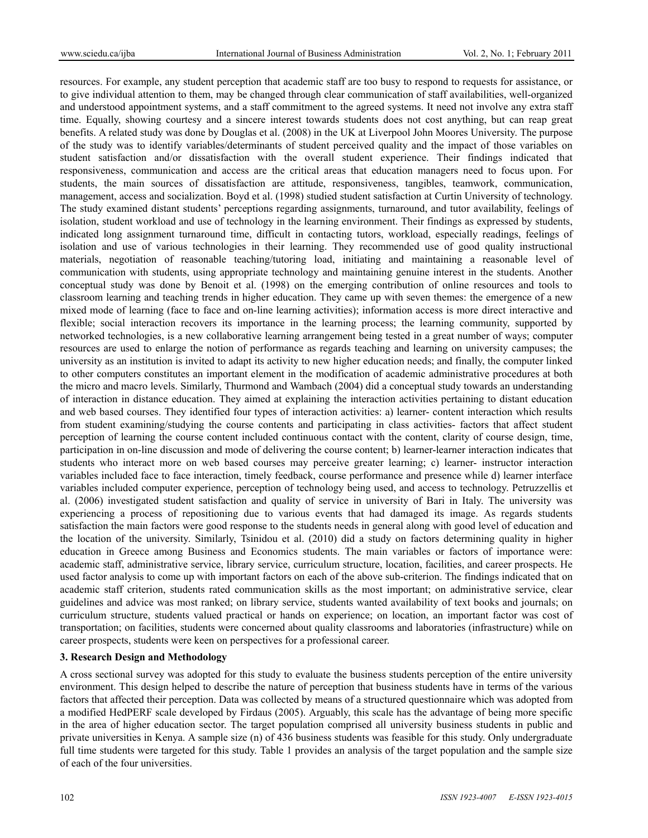resources. For example, any student perception that academic staff are too busy to respond to requests for assistance, or to give individual attention to them, may be changed through clear communication of staff availabilities, well-organized and understood appointment systems, and a staff commitment to the agreed systems. It need not involve any extra staff time. Equally, showing courtesy and a sincere interest towards students does not cost anything, but can reap great benefits. A related study was done by Douglas et al. (2008) in the UK at Liverpool John Moores University. The purpose of the study was to identify variables/determinants of student perceived quality and the impact of those variables on student satisfaction and/or dissatisfaction with the overall student experience. Their findings indicated that responsiveness, communication and access are the critical areas that education managers need to focus upon. For students, the main sources of dissatisfaction are attitude, responsiveness, tangibles, teamwork, communication, management, access and socialization. Boyd et al. (1998) studied student satisfaction at Curtin University of technology. The study examined distant students' perceptions regarding assignments, turnaround, and tutor availability, feelings of isolation, student workload and use of technology in the learning environment. Their findings as expressed by students, indicated long assignment turnaround time, difficult in contacting tutors, workload, especially readings, feelings of isolation and use of various technologies in their learning. They recommended use of good quality instructional materials, negotiation of reasonable teaching/tutoring load, initiating and maintaining a reasonable level of communication with students, using appropriate technology and maintaining genuine interest in the students. Another conceptual study was done by Benoit et al. (1998) on the emerging contribution of online resources and tools to classroom learning and teaching trends in higher education. They came up with seven themes: the emergence of a new mixed mode of learning (face to face and on-line learning activities); information access is more direct interactive and flexible; social interaction recovers its importance in the learning process; the learning community, supported by networked technologies, is a new collaborative learning arrangement being tested in a great number of ways; computer resources are used to enlarge the notion of performance as regards teaching and learning on university campuses; the university as an institution is invited to adapt its activity to new higher education needs; and finally, the computer linked to other computers constitutes an important element in the modification of academic administrative procedures at both the micro and macro levels. Similarly, Thurmond and Wambach (2004) did a conceptual study towards an understanding of interaction in distance education. They aimed at explaining the interaction activities pertaining to distant education and web based courses. They identified four types of interaction activities: a) learner- content interaction which results from student examining/studying the course contents and participating in class activities- factors that affect student perception of learning the course content included continuous contact with the content, clarity of course design, time, participation in on-line discussion and mode of delivering the course content; b) learner-learner interaction indicates that students who interact more on web based courses may perceive greater learning; c) learner- instructor interaction variables included face to face interaction, timely feedback, course performance and presence while d) learner interface variables included computer experience, perception of technology being used, and access to technology. Petruzzellis et al. (2006) investigated student satisfaction and quality of service in university of Bari in Italy. The university was experiencing a process of repositioning due to various events that had damaged its image. As regards students satisfaction the main factors were good response to the students needs in general along with good level of education and the location of the university. Similarly, Tsinidou et al. (2010) did a study on factors determining quality in higher education in Greece among Business and Economics students. The main variables or factors of importance were: academic staff, administrative service, library service, curriculum structure, location, facilities, and career prospects. He used factor analysis to come up with important factors on each of the above sub-criterion. The findings indicated that on academic staff criterion, students rated communication skills as the most important; on administrative service, clear guidelines and advice was most ranked; on library service, students wanted availability of text books and journals; on curriculum structure, students valued practical or hands on experience; on location, an important factor was cost of transportation; on facilities, students were concerned about quality classrooms and laboratories (infrastructure) while on career prospects, students were keen on perspectives for a professional career.

#### **3. Research Design and Methodology**

A cross sectional survey was adopted for this study to evaluate the business students perception of the entire university environment. This design helped to describe the nature of perception that business students have in terms of the various factors that affected their perception. Data was collected by means of a structured questionnaire which was adopted from a modified HedPERF scale developed by Firdaus (2005). Arguably, this scale has the advantage of being more specific in the area of higher education sector. The target population comprised all university business students in public and private universities in Kenya. A sample size (n) of 436 business students was feasible for this study. Only undergraduate full time students were targeted for this study. Table 1 provides an analysis of the target population and the sample size of each of the four universities.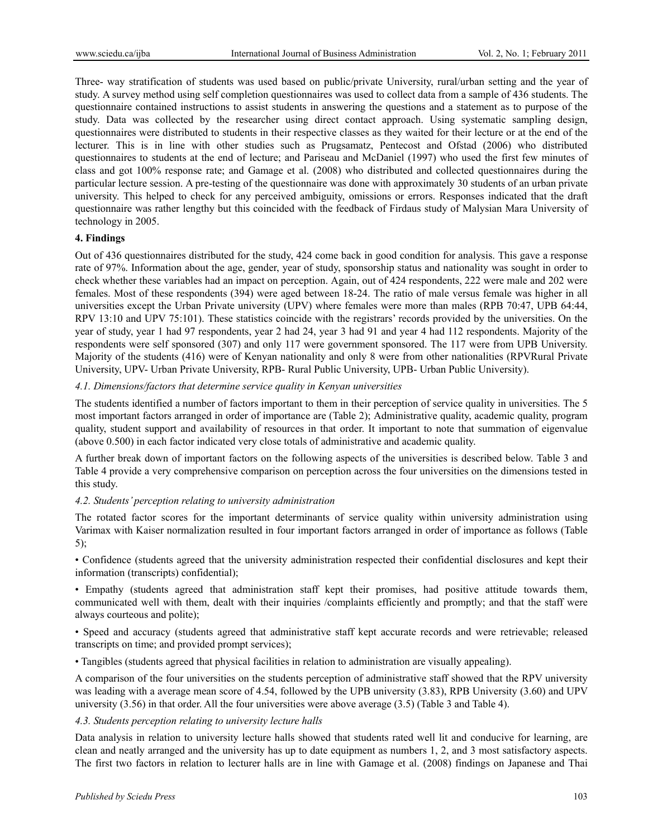Three- way stratification of students was used based on public/private University, rural/urban setting and the year of study. A survey method using self completion questionnaires was used to collect data from a sample of 436 students. The questionnaire contained instructions to assist students in answering the questions and a statement as to purpose of the study. Data was collected by the researcher using direct contact approach. Using systematic sampling design, questionnaires were distributed to students in their respective classes as they waited for their lecture or at the end of the lecturer. This is in line with other studies such as Prugsamatz, Pentecost and Ofstad (2006) who distributed questionnaires to students at the end of lecture; and Pariseau and McDaniel (1997) who used the first few minutes of class and got 100% response rate; and Gamage et al. (2008) who distributed and collected questionnaires during the particular lecture session. A pre-testing of the questionnaire was done with approximately 30 students of an urban private university. This helped to check for any perceived ambiguity, omissions or errors. Responses indicated that the draft questionnaire was rather lengthy but this coincided with the feedback of Firdaus study of Malysian Mara University of technology in 2005.

## **4. Findings**

Out of 436 questionnaires distributed for the study, 424 come back in good condition for analysis. This gave a response rate of 97%. Information about the age, gender, year of study, sponsorship status and nationality was sought in order to check whether these variables had an impact on perception. Again, out of 424 respondents, 222 were male and 202 were females. Most of these respondents (394) were aged between 18-24. The ratio of male versus female was higher in all universities except the Urban Private university (UPV) where females were more than males (RPB 70:47, UPB 64:44, RPV 13:10 and UPV 75:101). These statistics coincide with the registrars' records provided by the universities. On the year of study, year 1 had 97 respondents, year 2 had 24, year 3 had 91 and year 4 had 112 respondents. Majority of the respondents were self sponsored (307) and only 117 were government sponsored. The 117 were from UPB University. Majority of the students (416) were of Kenyan nationality and only 8 were from other nationalities (RPVRural Private University, UPV- Urban Private University, RPB- Rural Public University, UPB- Urban Public University).

## *4.1. Dimensions/factors that determine service quality in Kenyan universities*

The students identified a number of factors important to them in their perception of service quality in universities. The 5 most important factors arranged in order of importance are (Table 2); Administrative quality, academic quality, program quality, student support and availability of resources in that order. It important to note that summation of eigenvalue (above 0.500) in each factor indicated very close totals of administrative and academic quality.

A further break down of important factors on the following aspects of the universities is described below. Table 3 and Table 4 provide a very comprehensive comparison on perception across the four universities on the dimensions tested in this study.

# *4.2. Students' perception relating to university administration*

The rotated factor scores for the important determinants of service quality within university administration using Varimax with Kaiser normalization resulted in four important factors arranged in order of importance as follows (Table 5);

• Confidence (students agreed that the university administration respected their confidential disclosures and kept their information (transcripts) confidential);

• Empathy (students agreed that administration staff kept their promises, had positive attitude towards them, communicated well with them, dealt with their inquiries /complaints efficiently and promptly; and that the staff were always courteous and polite);

• Speed and accuracy (students agreed that administrative staff kept accurate records and were retrievable; released transcripts on time; and provided prompt services);

• Tangibles (students agreed that physical facilities in relation to administration are visually appealing).

A comparison of the four universities on the students perception of administrative staff showed that the RPV university was leading with a average mean score of 4.54, followed by the UPB university (3.83), RPB University (3.60) and UPV university (3.56) in that order. All the four universities were above average (3.5) (Table 3 and Table 4).

#### *4.3. Students perception relating to university lecture halls*

Data analysis in relation to university lecture halls showed that students rated well lit and conducive for learning, are clean and neatly arranged and the university has up to date equipment as numbers 1, 2, and 3 most satisfactory aspects. The first two factors in relation to lecturer halls are in line with Gamage et al. (2008) findings on Japanese and Thai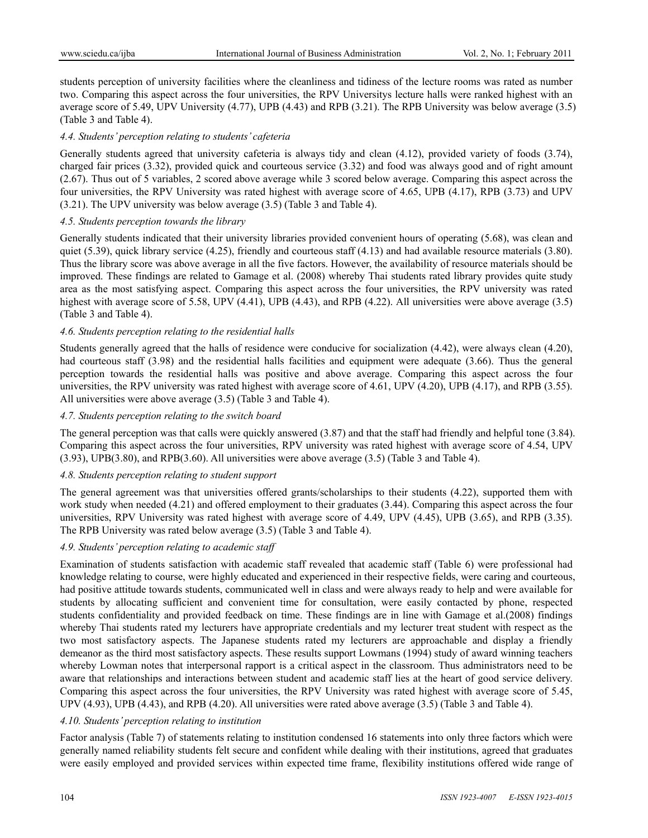students perception of university facilities where the cleanliness and tidiness of the lecture rooms was rated as number two. Comparing this aspect across the four universities, the RPV Universitys lecture halls were ranked highest with an average score of 5.49, UPV University (4.77), UPB (4.43) and RPB (3.21). The RPB University was below average (3.5) (Table 3 and Table 4).

## *4.4. Students' perception relating to students' cafeteria*

Generally students agreed that university cafeteria is always tidy and clean (4.12), provided variety of foods (3.74), charged fair prices (3.32), provided quick and courteous service (3.32) and food was always good and of right amount (2.67). Thus out of 5 variables, 2 scored above average while 3 scored below average. Comparing this aspect across the four universities, the RPV University was rated highest with average score of 4.65, UPB (4.17), RPB (3.73) and UPV (3.21). The UPV university was below average (3.5) (Table 3 and Table 4).

## *4.5. Students perception towards the library*

Generally students indicated that their university libraries provided convenient hours of operating (5.68), was clean and quiet (5.39), quick library service (4.25), friendly and courteous staff (4.13) and had available resource materials (3.80). Thus the library score was above average in all the five factors. However, the availability of resource materials should be improved. These findings are related to Gamage et al. (2008) whereby Thai students rated library provides quite study area as the most satisfying aspect. Comparing this aspect across the four universities, the RPV university was rated highest with average score of 5.58, UPV (4.41), UPB (4.43), and RPB (4.22). All universities were above average (3.5) (Table 3 and Table 4).

# *4.6. Students perception relating to the residential halls*

Students generally agreed that the halls of residence were conducive for socialization (4.42), were always clean (4.20), had courteous staff (3.98) and the residential halls facilities and equipment were adequate (3.66). Thus the general perception towards the residential halls was positive and above average. Comparing this aspect across the four universities, the RPV university was rated highest with average score of 4.61, UPV (4.20), UPB (4.17), and RPB (3.55). All universities were above average (3.5) (Table 3 and Table 4).

## *4.7. Students perception relating to the switch board*

The general perception was that calls were quickly answered (3.87) and that the staff had friendly and helpful tone (3.84). Comparing this aspect across the four universities, RPV university was rated highest with average score of 4.54, UPV (3.93), UPB(3.80), and RPB(3.60). All universities were above average (3.5) (Table 3 and Table 4).

## *4.8. Students perception relating to student support*

The general agreement was that universities offered grants/scholarships to their students (4.22), supported them with work study when needed (4.21) and offered employment to their graduates (3.44). Comparing this aspect across the four universities, RPV University was rated highest with average score of 4.49, UPV (4.45), UPB (3.65), and RPB (3.35). The RPB University was rated below average (3.5) (Table 3 and Table 4).

## *4.9. Students' perception relating to academic staff*

Examination of students satisfaction with academic staff revealed that academic staff (Table 6) were professional had knowledge relating to course, were highly educated and experienced in their respective fields, were caring and courteous, had positive attitude towards students, communicated well in class and were always ready to help and were available for students by allocating sufficient and convenient time for consultation, were easily contacted by phone, respected students confidentiality and provided feedback on time. These findings are in line with Gamage et al.(2008) findings whereby Thai students rated my lecturers have appropriate credentials and my lecturer treat student with respect as the two most satisfactory aspects. The Japanese students rated my lecturers are approachable and display a friendly demeanor as the third most satisfactory aspects. These results support Lowmans (1994) study of award winning teachers whereby Lowman notes that interpersonal rapport is a critical aspect in the classroom. Thus administrators need to be aware that relationships and interactions between student and academic staff lies at the heart of good service delivery. Comparing this aspect across the four universities, the RPV University was rated highest with average score of 5.45, UPV (4.93), UPB (4.43), and RPB (4.20). All universities were rated above average (3.5) (Table 3 and Table 4).

## *4.10. Students' perception relating to institution*

Factor analysis (Table 7) of statements relating to institution condensed 16 statements into only three factors which were generally named reliability students felt secure and confident while dealing with their institutions, agreed that graduates were easily employed and provided services within expected time frame, flexibility institutions offered wide range of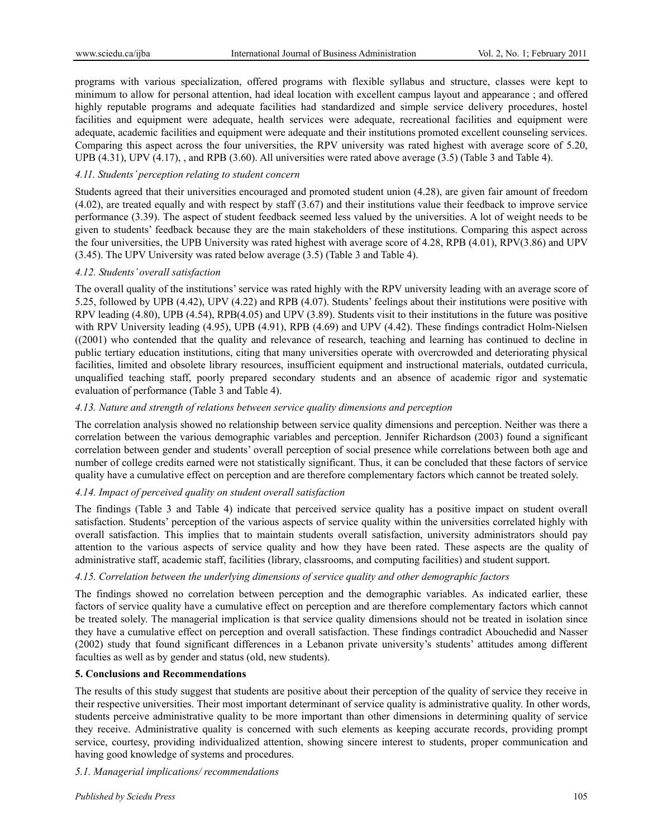programs with various specialization, offered programs with flexible syllabus and structure, classes were kept to minimum to allow for personal attention, had ideal location with excellent campus layout and appearance ; and offered highly reputable programs and adequate facilities had standardized and simple service delivery procedures, hostel facilities and equipment were adequate, health services were adequate, recreational facilities and equipment were adequate, academic facilities and equipment were adequate and their institutions promoted excellent counseling services. Comparing this aspect across the four universities, the RPV university was rated highest with average score of 5.20, UPB (4.31), UPV (4.17), , and RPB (3.60). All universities were rated above average (3.5) (Table 3 and Table 4).

#### *4.11. Students' perception relating to student concern*

Students agreed that their universities encouraged and promoted student union (4.28), are given fair amount of freedom (4.02), are treated equally and with respect by staff (3.67) and their institutions value their feedback to improve service performance (3.39). The aspect of student feedback seemed less valued by the universities. A lot of weight needs to be given to students' feedback because they are the main stakeholders of these institutions. Comparing this aspect across the four universities, the UPB University was rated highest with average score of 4.28, RPB (4.01), RPV(3.86) and UPV (3.45). The UPV University was rated below average (3.5) (Table 3 and Table 4).

#### *4.12. Students' overall satisfaction*

The overall quality of the institutions' service was rated highly with the RPV university leading with an average score of 5.25, followed by UPB (4.42), UPV (4.22) and RPB (4.07). Students' feelings about their institutions were positive with RPV leading (4.80), UPB (4.54), RPB(4.05) and UPV (3.89). Students visit to their institutions in the future was positive with RPV University leading (4.95), UPB (4.91), RPB (4.69) and UPV (4.42). These findings contradict Holm-Nielsen ((2001) who contended that the quality and relevance of research, teaching and learning has continued to decline in public tertiary education institutions, citing that many universities operate with overcrowded and deteriorating physical facilities, limited and obsolete library resources, insufficient equipment and instructional materials, outdated curricula, unqualified teaching staff, poorly prepared secondary students and an absence of academic rigor and systematic evaluation of performance (Table 3 and Table 4).

## *4.13. Nature and strength of relations between service quality dimensions and perception*

The correlation analysis showed no relationship between service quality dimensions and perception. Neither was there a correlation between the various demographic variables and perception. Jennifer Richardson (2003) found a significant correlation between gender and students' overall perception of social presence while correlations between both age and number of college credits earned were not statistically significant. Thus, it can be concluded that these factors of service quality have a cumulative effect on perception and are therefore complementary factors which cannot be treated solely.

#### *4.14. Impact of perceived quality on student overall satisfaction*

The findings (Table 3 and Table 4) indicate that perceived service quality has a positive impact on student overall satisfaction. Students' perception of the various aspects of service quality within the universities correlated highly with overall satisfaction. This implies that to maintain students overall satisfaction, university administrators should pay attention to the various aspects of service quality and how they have been rated. These aspects are the quality of administrative staff, academic staff, facilities (library, classrooms, and computing facilities) and student support.

## *4.15. Correlation between the underlying dimensions of service quality and other demographic factors*

The findings showed no correlation between perception and the demographic variables. As indicated earlier, these factors of service quality have a cumulative effect on perception and are therefore complementary factors which cannot be treated solely. The managerial implication is that service quality dimensions should not be treated in isolation since they have a cumulative effect on perception and overall satisfaction. These findings contradict Abouchedid and Nasser (2002) study that found significant differences in a Lebanon private university's students' attitudes among different faculties as well as by gender and status (old, new students).

#### **5. Conclusions and Recommendations**

The results of this study suggest that students are positive about their perception of the quality of service they receive in their respective universities. Their most important determinant of service quality is administrative quality. In other words, students perceive administrative quality to be more important than other dimensions in determining quality of service they receive. Administrative quality is concerned with such elements as keeping accurate records, providing prompt service, courtesy, providing individualized attention, showing sincere interest to students, proper communication and having good knowledge of systems and procedures.

#### *5.1. Managerial implications/ recommendations*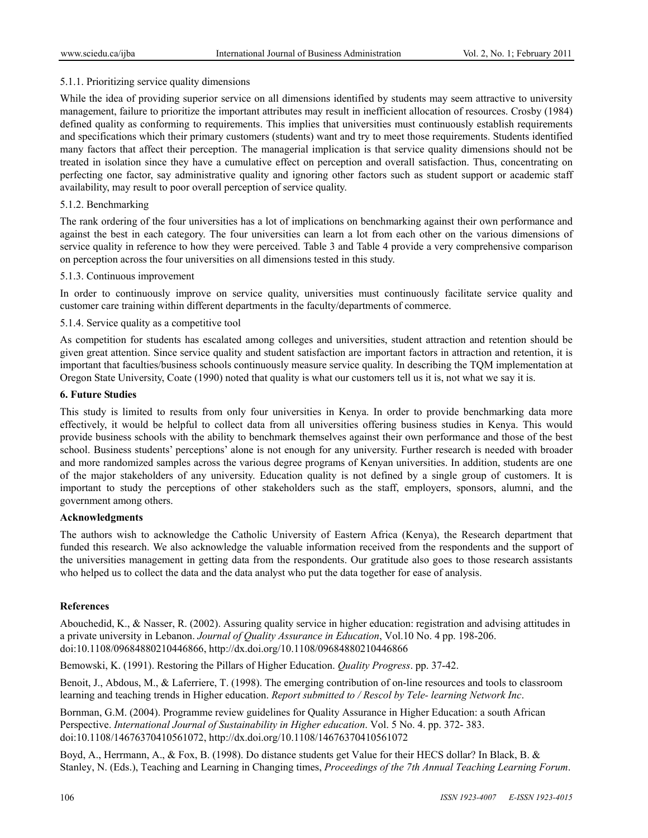## 5.1.1. Prioritizing service quality dimensions

While the idea of providing superior service on all dimensions identified by students may seem attractive to university management, failure to prioritize the important attributes may result in inefficient allocation of resources. Crosby (1984) defined quality as conforming to requirements. This implies that universities must continuously establish requirements and specifications which their primary customers (students) want and try to meet those requirements. Students identified many factors that affect their perception. The managerial implication is that service quality dimensions should not be treated in isolation since they have a cumulative effect on perception and overall satisfaction. Thus, concentrating on perfecting one factor, say administrative quality and ignoring other factors such as student support or academic staff availability, may result to poor overall perception of service quality.

## 5.1.2. Benchmarking

The rank ordering of the four universities has a lot of implications on benchmarking against their own performance and against the best in each category. The four universities can learn a lot from each other on the various dimensions of service quality in reference to how they were perceived. Table 3 and Table 4 provide a very comprehensive comparison on perception across the four universities on all dimensions tested in this study.

## 5.1.3. Continuous improvement

In order to continuously improve on service quality, universities must continuously facilitate service quality and customer care training within different departments in the faculty/departments of commerce.

## 5.1.4. Service quality as a competitive tool

As competition for students has escalated among colleges and universities, student attraction and retention should be given great attention. Since service quality and student satisfaction are important factors in attraction and retention, it is important that faculties/business schools continuously measure service quality. In describing the TQM implementation at Oregon State University, Coate (1990) noted that quality is what our customers tell us it is, not what we say it is.

## **6. Future Studies**

This study is limited to results from only four universities in Kenya. In order to provide benchmarking data more effectively, it would be helpful to collect data from all universities offering business studies in Kenya. This would provide business schools with the ability to benchmark themselves against their own performance and those of the best school. Business students' perceptions' alone is not enough for any university. Further research is needed with broader and more randomized samples across the various degree programs of Kenyan universities. In addition, students are one of the major stakeholders of any university. Education quality is not defined by a single group of customers. It is important to study the perceptions of other stakeholders such as the staff, employers, sponsors, alumni, and the government among others.

#### **Acknowledgments**

The authors wish to acknowledge the Catholic University of Eastern Africa (Kenya), the Research department that funded this research. We also acknowledge the valuable information received from the respondents and the support of the universities management in getting data from the respondents. Our gratitude also goes to those research assistants who helped us to collect the data and the data analyst who put the data together for ease of analysis.

## **References**

Abouchedid, K., & Nasser, R. (2002). Assuring quality service in higher education: registration and advising attitudes in a private university in Lebanon. *Journal of Quality Assurance in Education*, Vol.10 No. 4 pp. 198-206. doi:10.1108/09684880210446866, http://dx.doi.org/10.1108/09684880210446866

Bemowski, K. (1991). Restoring the Pillars of Higher Education. *Quality Progress*. pp. 37-42.

Benoit, J., Abdous, M., & Laferriere, T. (1998). The emerging contribution of on-line resources and tools to classroom learning and teaching trends in Higher education. *Report submitted to / Rescol by Tele- learning Network Inc*.

Bornman, G.M. (2004). Programme review guidelines for Quality Assurance in Higher Education: a south African Perspective. *International Journal of Sustainability in Higher education*. Vol. 5 No. 4. pp. 372- 383. doi:10.1108/14676370410561072, http://dx.doi.org/10.1108/14676370410561072

Boyd, A., Herrmann, A., & Fox, B. (1998). Do distance students get Value for their HECS dollar? In Black, B. & Stanley, N. (Eds.), Teaching and Learning in Changing times, *Proceedings of the 7th Annual Teaching Learning Forum*.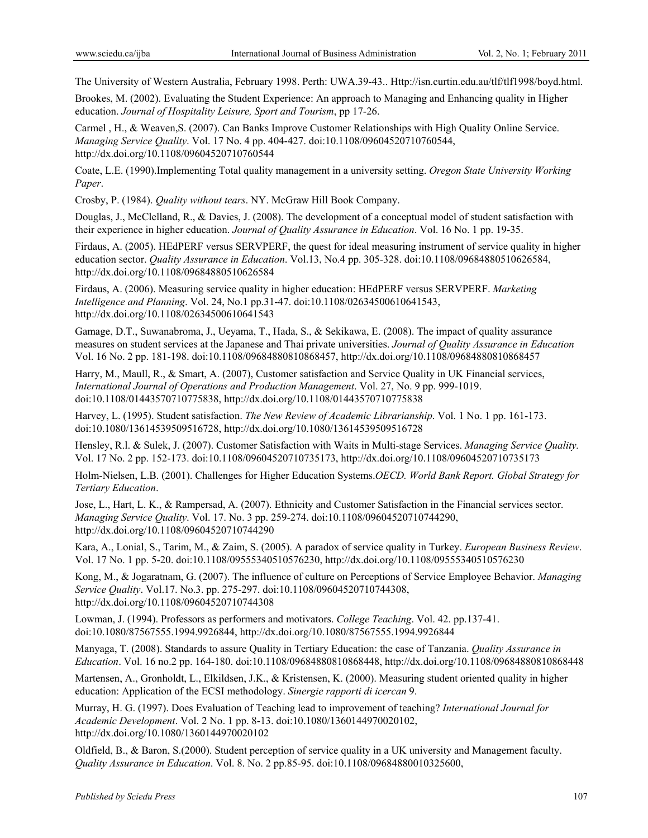The University of Western Australia, February 1998. Perth: UWA.39-43.. Http://isn.curtin.edu.au/tlf/tlf1998/boyd.html.

Brookes, M. (2002). Evaluating the Student Experience: An approach to Managing and Enhancing quality in Higher education. *Journal of Hospitality Leisure, Sport and Tourism*, pp 17-26.

Carmel , H., & Weaven,S. (2007). Can Banks Improve Customer Relationships with High Quality Online Service. *Managing Service Quality*. Vol. 17 No. 4 pp. 404-427. doi:10.1108/09604520710760544, http://dx.doi.org/10.1108/09604520710760544

Coate, L.E. (1990).Implementing Total quality management in a university setting. *Oregon State University Working Paper*.

Crosby, P. (1984). *Quality without tears*. NY. McGraw Hill Book Company.

Douglas, J., McClelland, R., & Davies, J. (2008). The development of a conceptual model of student satisfaction with their experience in higher education. *Journal of Quality Assurance in Education*. Vol. 16 No. 1 pp. 19-35.

Firdaus, A. (2005). HEdPERF versus SERVPERF, the quest for ideal measuring instrument of service quality in higher education sector. *Quality Assurance in Education*. Vol.13, No.4 pp. 305-328. doi:10.1108/09684880510626584, http://dx.doi.org/10.1108/09684880510626584

Firdaus, A. (2006). Measuring service quality in higher education: HEdPERF versus SERVPERF. *Marketing Intelligence and Planning*. Vol. 24, No.1 pp.31-47. doi:10.1108/02634500610641543, http://dx.doi.org/10.1108/02634500610641543

Gamage, D.T., Suwanabroma, J., Ueyama, T., Hada, S., & Sekikawa, E. (2008). The impact of quality assurance measures on student services at the Japanese and Thai private universities. *Journal of Quality Assurance in Education* Vol. 16 No. 2 pp. 181-198. doi:10.1108/09684880810868457, http://dx.doi.org/10.1108/09684880810868457

Harry, M., Maull, R., & Smart, A. (2007), Customer satisfaction and Service Quality in UK Financial services, *International Journal of Operations and Production Management*. Vol. 27, No. 9 pp. 999-1019. doi:10.1108/01443570710775838, http://dx.doi.org/10.1108/01443570710775838

Harvey, L. (1995). Student satisfaction. *The New Review of Academic Librarianship*. Vol. 1 No. 1 pp. 161-173. doi:10.1080/13614539509516728, http://dx.doi.org/10.1080/13614539509516728

Hensley, R.l. & Sulek, J. (2007). Customer Satisfaction with Waits in Multi-stage Services. *Managing Service Quality.*  Vol. 17 No. 2 pp. 152-173. doi:10.1108/09604520710735173, http://dx.doi.org/10.1108/09604520710735173

Holm-Nielsen, L.B. (2001). Challenges for Higher Education Systems.*OECD. World Bank Report. Global Strategy for Tertiary Education*.

Jose, L., Hart, L. K., & Rampersad, A. (2007). Ethnicity and Customer Satisfaction in the Financial services sector. *Managing Service Quality*. Vol. 17. No. 3 pp. 259-274. doi:10.1108/09604520710744290, http://dx.doi.org/10.1108/09604520710744290

Kara, A., Lonial, S., Tarim, M., & Zaim, S. (2005). A paradox of service quality in Turkey. *European Business Review*. Vol. 17 No. 1 pp. 5-20. doi:10.1108/09555340510576230, http://dx.doi.org/10.1108/09555340510576230

Kong, M., & Jogaratnam, G. (2007). The influence of culture on Perceptions of Service Employee Behavior. *Managing Service Quality*. Vol.17. No.3. pp. 275-297. doi:10.1108/09604520710744308, http://dx.doi.org/10.1108/09604520710744308

Lowman, J. (1994). Professors as performers and motivators. *College Teaching*. Vol. 42. pp.137-41. doi:10.1080/87567555.1994.9926844, http://dx.doi.org/10.1080/87567555.1994.9926844

Manyaga, T. (2008). Standards to assure Quality in Tertiary Education: the case of Tanzania. *Quality Assurance in Education*. Vol. 16 no.2 pp. 164-180. doi:10.1108/09684880810868448, http://dx.doi.org/10.1108/09684880810868448

Martensen, A., Gronholdt, L., Elkildsen, J.K., & Kristensen, K. (2000). Measuring student oriented quality in higher education: Application of the ECSI methodology. *Sinergie rapporti di icercan* 9.

Murray, H. G. (1997). Does Evaluation of Teaching lead to improvement of teaching? *International Journal for Academic Development*. Vol. 2 No. 1 pp. 8-13. doi:10.1080/1360144970020102, http://dx.doi.org/10.1080/1360144970020102

Oldfield, B., & Baron, S.(2000). Student perception of service quality in a UK university and Management faculty. *Quality Assurance in Education*. Vol. 8. No. 2 pp.85-95. doi:10.1108/09684880010325600,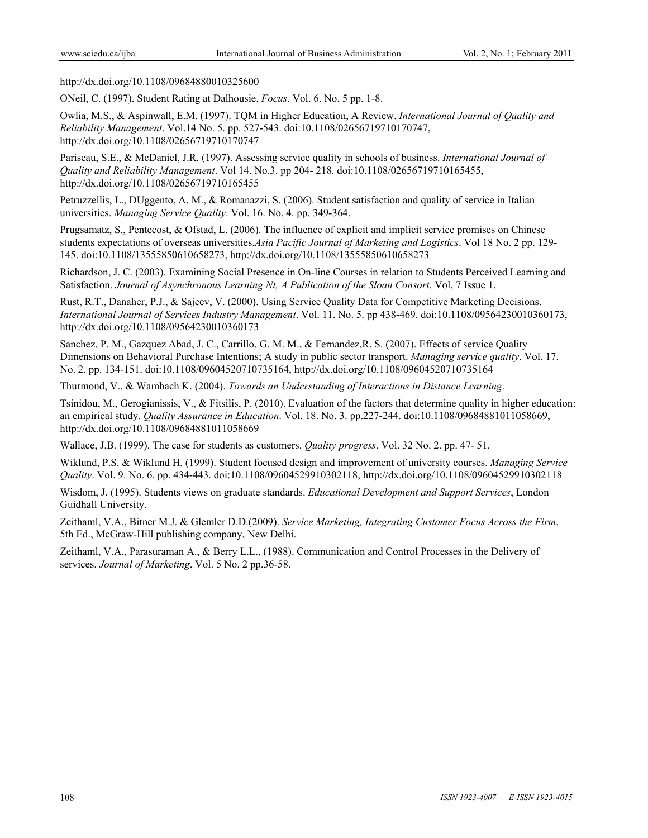http://dx.doi.org/10.1108/09684880010325600

ONeil, C. (1997). Student Rating at Dalhousie. *Focus*. Vol. 6. No. 5 pp. 1-8.

Owlia, M.S., & Aspinwall, E.M. (1997). TQM in Higher Education, A Review. *International Journal of Quality and Reliability Management*. Vol.14 No. 5. pp. 527-543. doi:10.1108/02656719710170747, http://dx.doi.org/10.1108/02656719710170747

Pariseau, S.E., & McDaniel, J.R. (1997). Assessing service quality in schools of business. *International Journal of Quality and Reliability Management*. Vol 14. No.3. pp 204- 218. doi:10.1108/02656719710165455, http://dx.doi.org/10.1108/02656719710165455

Petruzzellis, L., DUggento, A. M., & Romanazzi, S. (2006). Student satisfaction and quality of service in Italian universities. *Managing Service Quality*. Vol. 16. No. 4. pp. 349-364.

Prugsamatz, S., Pentecost, & Ofstad, L. (2006). The influence of explicit and implicit service promises on Chinese students expectations of overseas universities.*Asia Pacific Journal of Marketing and Logistics*. Vol 18 No. 2 pp. 129- 145. doi:10.1108/13555850610658273, http://dx.doi.org/10.1108/13555850610658273

Richardson, J. C. (2003). Examining Social Presence in On-line Courses in relation to Students Perceived Learning and Satisfaction. *Journal of Asynchronous Learning Nt, A Publication of the Sloan Consort*. Vol. 7 Issue 1.

Rust, R.T., Danaher, P.J., & Sajeev, V. (2000). Using Service Quality Data for Competitive Marketing Decisions. *International Journal of Services Industry Management*. Vol. 11. No. 5. pp 438-469. doi:10.1108/09564230010360173, http://dx.doi.org/10.1108/09564230010360173

Sanchez, P. M., Gazquez Abad, J. C., Carrillo, G. M. M., & Fernandez,R. S. (2007). Effects of service Quality Dimensions on Behavioral Purchase Intentions; A study in public sector transport. *Managing service quality*. Vol. 17. No. 2. pp. 134-151. doi:10.1108/09604520710735164, http://dx.doi.org/10.1108/09604520710735164

Thurmond, V., & Wambach K. (2004). *Towards an Understanding of Interactions in Distance Learning*.

Tsinidou, M., Gerogianissis, V., & Fitsilis, P. (2010). Evaluation of the factors that determine quality in higher education: an empirical study. *Quality Assurance in Education*. Vol. 18. No. 3. pp.227-244. doi:10.1108/09684881011058669, http://dx.doi.org/10.1108/09684881011058669

Wallace, J.B. (1999). The case for students as customers. *Quality progress*. Vol. 32 No. 2. pp. 47- 51.

Wiklund, P.S. & Wiklund H. (1999). Student focused design and improvement of university courses. *Managing Service Quality*. Vol. 9. No. 6. pp. 434-443. doi:10.1108/09604529910302118, http://dx.doi.org/10.1108/09604529910302118

Wisdom, J. (1995). Students views on graduate standards. *Educational Development and Support Services*, London Guidhall University.

Zeithaml, V.A., Bitner M.J. & Glemler D.D.(2009). *Service Marketing, Integrating Customer Focus Across the Firm*. 5th Ed., McGraw-Hill publishing company, New Delhi.

Zeithaml, V.A., Parasuraman A., & Berry L.L., (1988). Communication and Control Processes in the Delivery of services. *Journal of Marketing*. Vol. 5 No. 2 pp.36-58.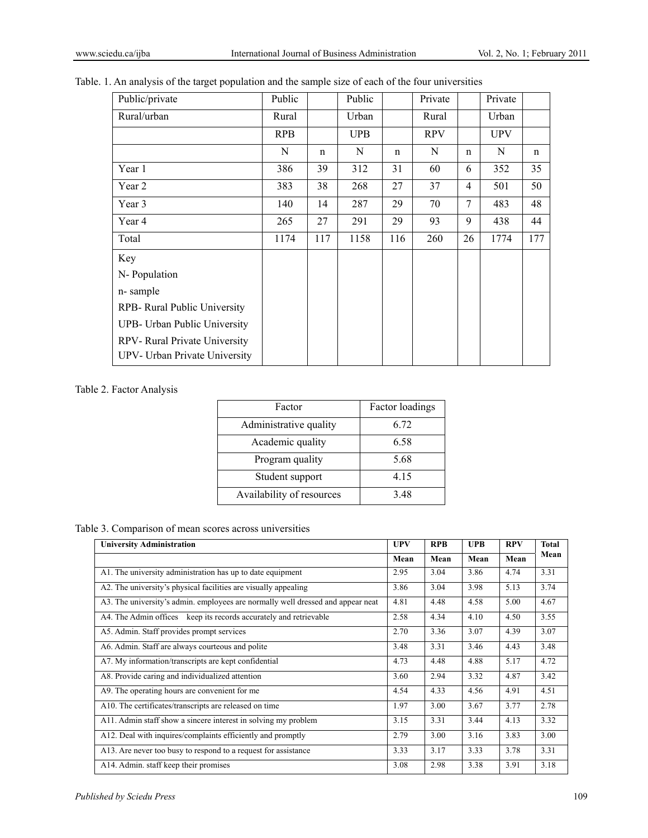|  |  |  |  | Table. 1. An analysis of the target population and the sample size of each of the four universities |
|--|--|--|--|-----------------------------------------------------------------------------------------------------|
|  |  |  |  |                                                                                                     |

| Public/private                | Public     |             | Public     |     | Private    |    | Private    |     |
|-------------------------------|------------|-------------|------------|-----|------------|----|------------|-----|
| Rural/urban                   | Rural      |             | Urban      |     | Rural      |    | Urban      |     |
|                               | <b>RPB</b> |             | <b>UPB</b> |     | <b>RPV</b> |    | <b>UPV</b> |     |
|                               | N          | $\mathbf n$ | N          | n   | N          | n  | N          | n   |
| Year 1                        | 386        | 39          | 312        | 31  | 60         | 6  | 352        | 35  |
| Year 2                        | 383        | 38          | 268        | 27  | 37         | 4  | 501        | 50  |
| Year 3                        | 140        | 14          | 287        | 29  | 70         | 7  | 483        | 48  |
| Year 4                        | 265        | 27          | 291        | 29  | 93         | 9  | 438        | 44  |
| Total                         | 1174       | 117         | 1158       | 116 | 260        | 26 | 1774       | 177 |
| Key                           |            |             |            |     |            |    |            |     |
| N-Population                  |            |             |            |     |            |    |            |     |
| n-sample                      |            |             |            |     |            |    |            |     |
| RPB- Rural Public University  |            |             |            |     |            |    |            |     |
| UPB- Urban Public University  |            |             |            |     |            |    |            |     |
| RPV-Rural Private University  |            |             |            |     |            |    |            |     |
| UPV- Urban Private University |            |             |            |     |            |    |            |     |

## Table 2. Factor Analysis

| Factor                    | Factor loadings |
|---------------------------|-----------------|
| Administrative quality    | 6.72            |
| Academic quality          | 6.58            |
| Program quality           | 5.68            |
| Student support           | 4 1 5           |
| Availability of resources | 348             |

# Table 3. Comparison of mean scores across universities

| <b>University Administration</b>                                                | <b>UPV</b> | <b>RPB</b> | <b>UPB</b> | <b>RPV</b> | <b>Total</b> |
|---------------------------------------------------------------------------------|------------|------------|------------|------------|--------------|
|                                                                                 | Mean       | Mean       | Mean       | Mean       | Mean         |
| A1. The university administration has up to date equipment                      | 2.95       | 3.04       | 3.86       | 4.74       | 3.31         |
| A2. The university's physical facilities are visually appealing                 | 3.86       | 3.04       | 3.98       | 5.13       | 3.74         |
| A3. The university's admin. employees are normally well dressed and appear neat | 4.81       | 4.48       | 4.58       | 5.00       | 4.67         |
| A4. The Admin offices keep its records accurately and retrievable               | 2.58       | 4.34       | 4.10       | 4.50       | 3.55         |
| A5. Admin. Staff provides prompt services                                       | 2.70       | 3.36       | 3.07       | 4.39       | 3.07         |
| A6. Admin. Staff are always courteous and polite                                | 3.48       | 3.31       | 3.46       | 4.43       | 3.48         |
| A7. My information/transcripts are kept confidential                            | 4.73       | 4.48       | 4.88       | 5.17       | 4.72         |
| A8. Provide caring and individualized attention                                 | 3.60       | 2.94       | 3.32       | 4.87       | 3.42         |
| A9. The operating hours are convenient for me                                   | 4.54       | 4.33       | 4.56       | 4.91       | 4.51         |
| A10. The certificates/transcripts are released on time                          | 1.97       | 3.00       | 3.67       | 3.77       | 2.78         |
| A11. Admin staff show a sincere interest in solving my problem                  | 3.15       | 3.31       | 3.44       | 4.13       | 3.32         |
| A12. Deal with inquires/complaints efficiently and promptly                     | 2.79       | 3.00       | 3.16       | 3.83       | 3.00         |
| A13. Are never too busy to respond to a request for assistance                  | 3.33       | 3.17       | 3.33       | 3.78       | 3.31         |
| A14. Admin. staff keep their promises                                           | 3.08       | 2.98       | 3.38       | 3.91       | 3.18         |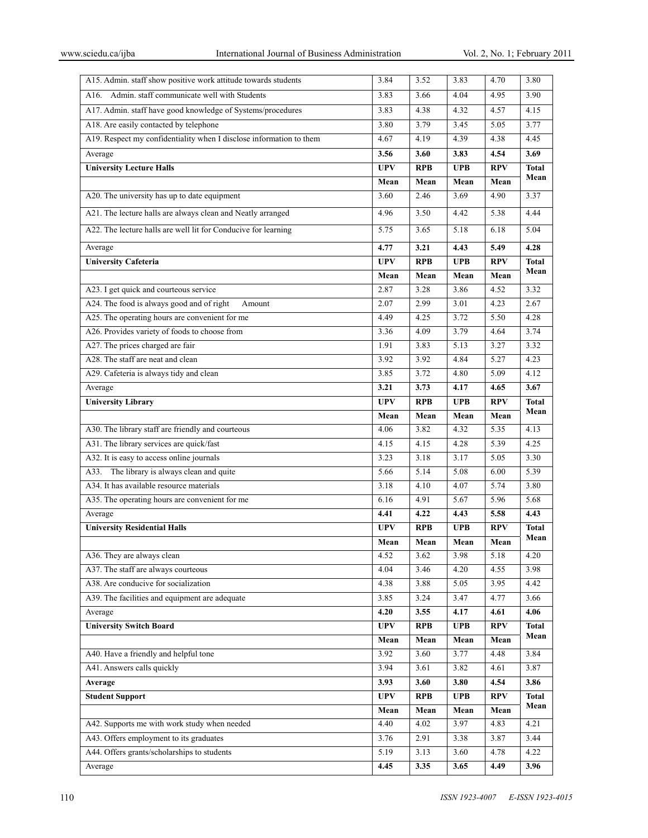| A15. Admin. staff show positive work attitude towards students      | 3.84         | 3.52               | 3.83         | 4.70         | 3.80                 |
|---------------------------------------------------------------------|--------------|--------------------|--------------|--------------|----------------------|
| Admin. staff communicate well with Students<br>A16.                 | 3.83         | 3.66               | 4.04         | 4.95         | 3.90                 |
| A17. Admin. staff have good knowledge of Systems/procedures         | 3.83         | 4.38               | 4.32         | 4.57         | 4.15                 |
| A18. Are easily contacted by telephone                              | 3.80         | 3.79               | 3.45         | 5.05         | 3.77                 |
| A19. Respect my confidentiality when I disclose information to them | 4.67         | 4.19               | 4.39         | 4.38         | 4.45                 |
| Average                                                             | 3.56         | 3.60               | 3.83         | 4.54         | 3.69                 |
| <b>University Lecture Halls</b>                                     | <b>UPV</b>   | <b>RPB</b>         | <b>UPB</b>   | <b>RPV</b>   | <b>Total</b>         |
|                                                                     | Mean         | Mean               | Mean         | Mean         | Mean                 |
| A20. The university has up to date equipment                        | 3.60         | 2.46               | 3.69         | 4.90         | 3.37                 |
| A21. The lecture halls are always clean and Neatly arranged         | 4.96         | 3.50               | 4.42         | 5.38         | 4.44                 |
| A22. The lecture halls are well lit for Conducive for learning      | 5.75         | 3.65               | 5.18         | 6.18         | 5.04                 |
| Average                                                             | 4.77         | 3.21               | 4.43         | 5.49         | 4.28                 |
| <b>University Cafeteria</b>                                         | <b>UPV</b>   | <b>RPB</b>         | <b>UPB</b>   | <b>RPV</b>   | <b>Total</b>         |
|                                                                     | Mean         | Mean               | Mean         | Mean         | Mean                 |
| A23. I get quick and courteous service                              | 2.87         | 3.28               | 3.86         | 4.52         | 3.32                 |
| A24. The food is always good and of right<br>Amount                 | 2.07         | 2.99               | 3.01         | 4.23         | 2.67                 |
| A25. The operating hours are convenient for me                      | 4.49         | 4.25               | 3.72         | 5.50         | 4.28                 |
| A26. Provides variety of foods to choose from                       | 3.36         | 4.09               | 3.79         | 4.64         | 3.74                 |
| A27. The prices charged are fair                                    | 1.91         | 3.83               | 5.13         | 3.27         | 3.32                 |
| A28. The staff are neat and clean                                   | 3.92         | 3.92               | 4.84         | 5.27         | 4.23                 |
| A29. Cafeteria is always tidy and clean                             | 3.85         | 3.72               | 4.80         | 5.09         | 4.12                 |
| Average                                                             | 3.21         | 3.73               | 4.17         | 4.65         | 3.67                 |
| <b>University Library</b>                                           | <b>UPV</b>   | <b>RPB</b>         | <b>UPB</b>   | <b>RPV</b>   | <b>Total</b>         |
|                                                                     | Mean         | Mean               | Mean         | Mean         | Mean                 |
| A30. The library staff are friendly and courteous                   | 4.06         | 3.82               | 4.32         | 5.35         | 4.13                 |
| A31. The library services are quick/fast                            | 4.15         | 4.15               | 4.28         | 5.39         | 4.25                 |
| A32. It is easy to access online journals                           | 3.23         | 3.18               | 3.17         | 5.05         | 3.30                 |
| The library is always clean and quite<br>A33.                       | 5.66         | 5.14               | 5.08         | 6.00         | 5.39                 |
| A34. It has available resource materials                            | 3.18         | 4.10               | 4.07         | 5.74         | 3.80                 |
| A35. The operating hours are convenient for me                      | 6.16         | 4.91               | 5.67         | 5.96         | 5.68                 |
| Average                                                             | 4.41         | 4.22               | 4.43         | 5.58         | 4.43                 |
| <b>University Residential Halls</b>                                 | <b>UPV</b>   | <b>RPB</b>         | <b>UPB</b>   | <b>RPV</b>   | <b>Total</b><br>Mean |
|                                                                     | Mean         | Mean               | Mean         | Mean         |                      |
| A36. They are always clean                                          | 4.52         | 3.62               | 3.98         | 5.18         | 4.20                 |
| A37. The staff are always courteous                                 | 4.04         | 3.46               | 4.20         | 4.55         | 3.98                 |
| A38. Are conducive for socialization                                | 4.38         | 3.88               | 5.05         | 3.95         | 4.42                 |
| A39. The facilities and equipment are adequate                      | 3.85         | 3.24               | 3.47         | 4.77         | 3.66                 |
| Average                                                             | 4.20         | 3.55               | 4.17         | 4.61         | 4.06                 |
| <b>University Switch Board</b>                                      | <b>UPV</b>   | <b>RPB</b><br>Mean | <b>UPB</b>   | <b>RPV</b>   | Total<br>Mean        |
| A40. Have a friendly and helpful tone                               | Mean<br>3.92 | 3.60               | Mean<br>3.77 | Mean<br>4.48 | 3.84                 |
| A41. Answers calls quickly                                          | 3.94         | 3.61               | 3.82         | 4.61         | 3.87                 |
| Average                                                             | 3.93         | 3.60               | 3.80         | 4.54         | 3.86                 |
| <b>Student Support</b>                                              | <b>UPV</b>   | <b>RPB</b>         | <b>UPB</b>   | <b>RPV</b>   | <b>Total</b>         |
|                                                                     |              | Mean               | Mean         | Mean         | Mean                 |
| A42. Supports me with work study when needed                        |              |                    |              |              |                      |
|                                                                     | Mean         |                    |              |              |                      |
|                                                                     | 4.40         | 4.02               | 3.97         | 4.83         | 4.21                 |
| A43. Offers employment to its graduates                             | 3.76         | 2.91               | 3.38         | 3.87         | 3.44                 |
| A44. Offers grants/scholarships to students<br>Average              | 5.19<br>4.45 | 3.13<br>3.35       | 3.60<br>3.65 | 4.78<br>4.49 | 4.22<br>3.96         |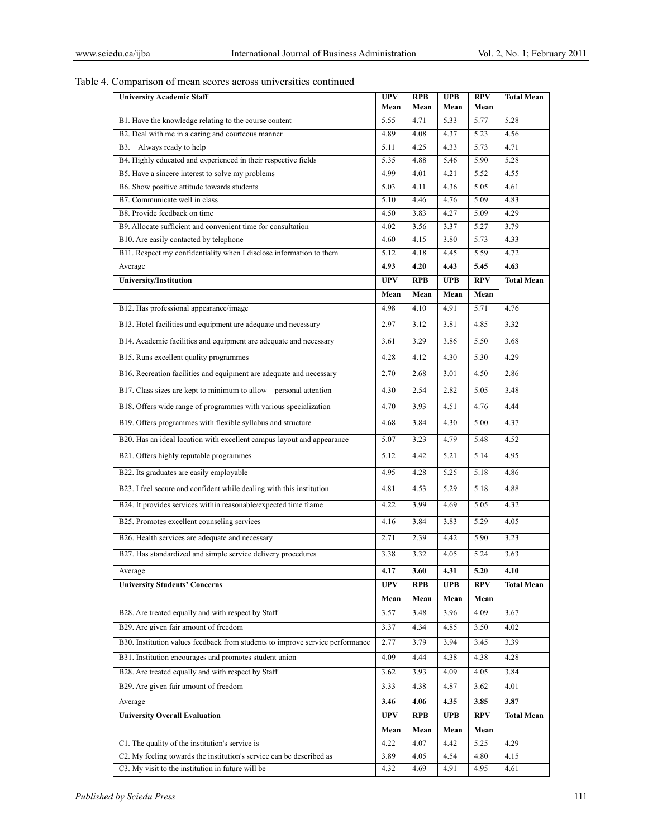Table 4. Comparison of mean scores across universities continued

| <b>University Academic Staff</b>                                              | <b>UPV</b>   | <b>RPB</b>   | <b>UPB</b>   | <b>RPV</b>   | <b>Total Mean</b> |
|-------------------------------------------------------------------------------|--------------|--------------|--------------|--------------|-------------------|
|                                                                               | Mean         | Mean         | Mean         | Mean         |                   |
| B1. Have the knowledge relating to the course content                         | 5.55         | 4.71         | 5.33         | 5.77         | 5.28              |
| B2. Deal with me in a caring and courteous manner                             | 4.89         | 4.08         | 4.37         | 5.23         | 4.56              |
| B3. Always ready to help                                                      | 5.11         | 4.25         | 4.33         | 5.73         | 4.71              |
| B4. Highly educated and experienced in their respective fields                | 5.35         | 4.88         | 5.46         | 5.90         | 5.28              |
| B5. Have a sincere interest to solve my problems                              | 4.99         | 4.01         | 4.21         | 5.52         | 4.55              |
| B6. Show positive attitude towards students                                   | 5.03         | 4.11         | 4.36         | 5.05         | 4.61              |
| B7. Communicate well in class<br>B8. Provide feedback on time                 | 5.10         | 4.46         | 4.76<br>4.27 | 5.09         | 4.83<br>4.29      |
| B9. Allocate sufficient and convenient time for consultation                  | 4.50<br>4.02 | 3.83<br>3.56 | 3.37         | 5.09<br>5.27 | 3.79              |
| B10. Are easily contacted by telephone                                        | 4.60         | 4.15         | 3.80         | 5.73         | 4.33              |
| B11. Respect my confidentiality when I disclose information to them           | 5.12         | 4.18         | 4.45         | 5.59         | 4.72              |
| Average                                                                       | 4.93         | 4.20         | 4.43         | 5.45         | 4.63              |
| University/Institution                                                        | <b>UPV</b>   | <b>RPB</b>   | <b>UPB</b>   | <b>RPV</b>   | <b>Total Mean</b> |
|                                                                               | Mean         | Mean         | Mean         | Mean         |                   |
| B12. Has professional appearance/image                                        | 4.98         | 4.10         | 4.91         | 5.71         | 4.76              |
|                                                                               |              |              |              |              |                   |
| B13. Hotel facilities and equipment are adequate and necessary                | 2.97         | 3.12         | 3.81         | 4.85         | 3.32              |
| B14. Academic facilities and equipment are adequate and necessary             | 3.61         | 3.29         | 3.86         | 5.50         | 3.68              |
| B15. Runs excellent quality programmes                                        | 4.28         | 4.12         | 4.30         | 5.30         | 4.29              |
| B16. Recreation facilities and equipment are adequate and necessary           | 2.70         | 2.68         | 3.01         | 4.50         | 2.86              |
| B17. Class sizes are kept to minimum to allow personal attention              | 4.30         | 2.54         | 2.82         | 5.05         | 3.48              |
| B18. Offers wide range of programmes with various specialization              | 4.70         | 3.93         | 4.51         | 4.76         | 4.44              |
| B19. Offers programmes with flexible syllabus and structure                   | 4.68         | 3.84         | 4.30         | 5.00         | 4.37              |
| B20. Has an ideal location with excellent campus layout and appearance        | 5.07         | 3.23         | 4.79         | 5.48         | 4.52              |
| B21. Offers highly reputable programmes                                       | 5.12         | 4.42         | 5.21         | 5.14         | 4.95              |
| B22. Its graduates are easily employable                                      | 4.95         | 4.28         | 5.25         | 5.18         | 4.86              |
| B23. I feel secure and confident while dealing with this institution          | 4.81         | 4.53         | 5.29         | 5.18         | 4.88              |
| B24. It provides services within reasonable/expected time frame               | 4.22         | 3.99         | 4.69         | 5.05         | 4.32              |
| B25. Promotes excellent counseling services                                   | 4.16         | 3.84         | 3.83         | 5.29         | 4.05              |
| B26. Health services are adequate and necessary                               | 2.71         | 2.39         | 4.42         | 5.90         | 3.23              |
| B27. Has standardized and simple service delivery procedures                  | 3.38         | 3.32         | 4.05         | 5.24         | 3.63              |
| Average                                                                       | 4.17         | 3.60         | 4.31         | 5.20         | 4.10              |
| <b>University Students' Concerns</b>                                          | <b>UPV</b>   | RPB          | <b>UPB</b>   | <b>RPV</b>   | <b>Total Mean</b> |
|                                                                               | Mean         | Mean         | Mean         | Mean         |                   |
| B28. Are treated equally and with respect by Staff                            | 3.57         | 3.48         | 3.96         | 4.09         | 3.67              |
| B29. Are given fair amount of freedom                                         | 3.37         | 4.34         | 4.85         | 3.50         | 4.02              |
| B30. Institution values feedback from students to improve service performance | 2.77         | 3.79         | 3.94         | 3.45         | 3.39              |
| B31. Institution encourages and promotes student union                        | 4.09         | 4.44         | 4.38         | 4.38         | 4.28              |
| B28. Are treated equally and with respect by Staff                            | 3.62         | 3.93         | 4.09         | 4.05         | 3.84              |
| B29. Are given fair amount of freedom                                         | 3.33         | 4.38         | 4.87         | 3.62         | 4.01              |
| Average                                                                       | 3.46         | 4.06         | 4.35         | 3.85         | 3.87              |
| <b>University Overall Evaluation</b>                                          | <b>UPV</b>   | <b>RPB</b>   | <b>UPB</b>   | <b>RPV</b>   | <b>Total Mean</b> |
|                                                                               | Mean         | Mean         | Mean         | Mean         |                   |
| C1. The quality of the institution's service is                               | 4.22         | 4.07         | 4.42         | 5.25         | 4.29              |
| C2. My feeling towards the institution's service can be described as          | 3.89         | 4.05         | 4.54         | 4.80         | 4.15              |
| C3. My visit to the institution in future will be                             | 4.32         | 4.69         | 4.91         | 4.95         | 4.61              |